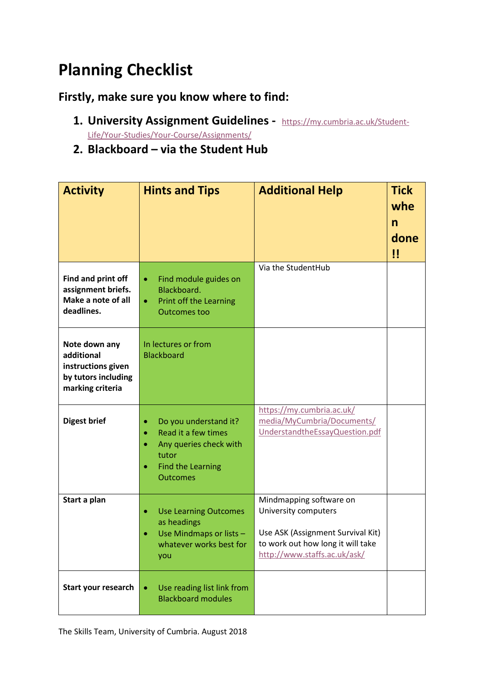## **Planning Checklist**

## **Firstly, make sure you know where to find:**

- **1. University Assignment Guidelines** [https://my.cumbria.ac.uk/Student-](https://my.cumbria.ac.uk/Student-Life/Your-Studies/Your-Course/Assignments/)[Life/Your-Studies/Your-Course/Assignments/](https://my.cumbria.ac.uk/Student-Life/Your-Studies/Your-Course/Assignments/)
- **2. Blackboard – via the Student Hub**

| <b>Activity</b>                                                                              | <b>Hints and Tips</b>                                                                                                               | <b>Additional Help</b>                                                                                                                                    | <b>Tick</b><br>whe<br>$\mathsf{n}$<br>done<br>!! |
|----------------------------------------------------------------------------------------------|-------------------------------------------------------------------------------------------------------------------------------------|-----------------------------------------------------------------------------------------------------------------------------------------------------------|--------------------------------------------------|
| Find and print off<br>assignment briefs.<br>Make a note of all<br>deadlines.                 | Find module guides on<br>۰<br>Blackboard.<br>Print off the Learning<br>$\bullet$<br><b>Outcomes too</b>                             | Via the StudentHub                                                                                                                                        |                                                  |
| Note down any<br>additional<br>instructions given<br>by tutors including<br>marking criteria | In lectures or from<br><b>Blackboard</b>                                                                                            |                                                                                                                                                           |                                                  |
| <b>Digest brief</b>                                                                          | Do you understand it?<br>۰<br>Read it a few times<br>Any queries check with<br>tutor<br><b>Find the Learning</b><br><b>Outcomes</b> | https://my.cumbria.ac.uk/<br>media/MyCumbria/Documents/<br>UnderstandtheEssayQuestion.pdf                                                                 |                                                  |
| Start a plan                                                                                 | <b>Use Learning Outcomes</b><br>as headings<br>Use Mindmaps or lists -<br>whatever works best for<br>you                            | Mindmapping software on<br>University computers<br>Use ASK (Assignment Survival Kit)<br>to work out how long it will take<br>http://www.staffs.ac.uk/ask/ |                                                  |
| Start your research                                                                          | Use reading list link from<br>$\bullet$<br><b>Blackboard modules</b>                                                                |                                                                                                                                                           |                                                  |